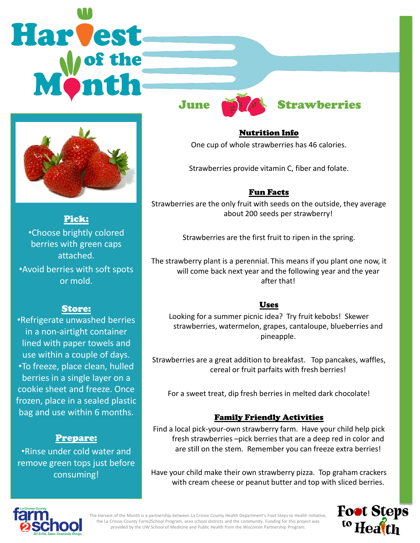# **Harvest**



## Pick:

•Choose brightly colored berries with green caps attached.

•Avoid berries with soft spots or mold.

### Store:

•Refrigerate unwashed berries in a non-airtight container lined with paper towels and use within a couple of days. •To freeze, place clean, hulled berries in a single layer on a cookie sheet and freeze. Once frozen, place in a sealed plastic bag and use within 6 months.

### Prepare:

•Rinse under cold water and remove green tops just before consuming!



# June **Strawberries**

Nutrition Info One cup of whole strawberries has 46 calories.

Strawberries provide vitamin C, fiber and folate.

# Fun Facts

Strawberries are the only fruit with seeds on the outside, they average about 200 seeds per strawberry!

Strawberries are the first fruit to ripen in the spring.

The strawberry plant is a perennial. This means if you plant one now, it will come back next year and the following year and the year after that!

### Uses

Looking for a summer picnic idea? Try fruit kebobs! Skewer strawberries, watermelon, grapes, cantaloupe, blueberries and pineapple.

Strawberries are a great addition to breakfast. Top pancakes, waffles, cereal or fruit parfaits with fresh berries!

For a sweet treat, dip fresh berries in melted dark chocolate!

### Family Friendly Activities

Find a local pick-your-own strawberry farm. Have your child help pick fresh strawberries –pick berries that are a deep red in color and are still on the stem. Remember you can freeze extra berries!

Have your child make their own strawberry pizza. Top graham crackers with cream cheese or peanut butter and top with sliced berries.